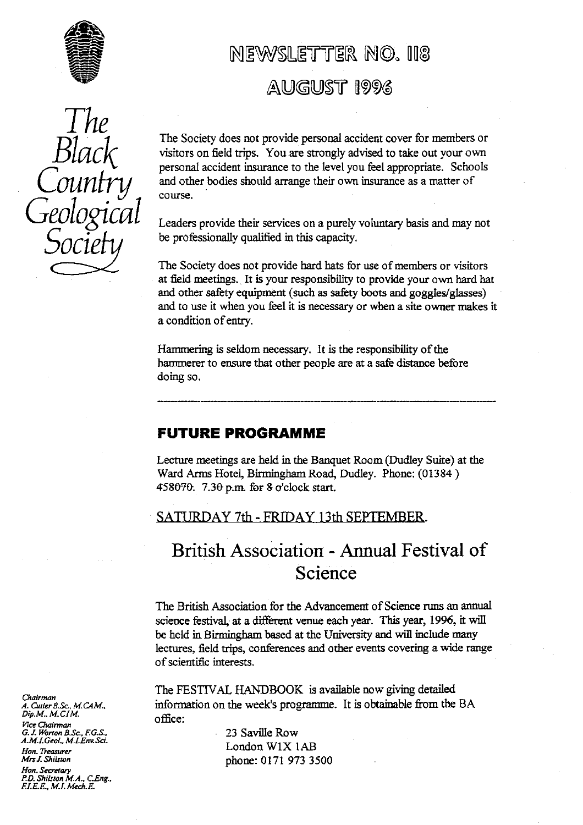

## NEWSLETTER NO. 118 AUGUST 1996

*The B*  $\overline{\phantom{1}}$ 

*Black* The Society does not provide personal accident cover for members or visitors on field trips. You are strongly advised to take out your own personal accident insurance to the level you feel appropriate. Schools visitors on field trips. You are strongly advised to take out your own personal accident insurance to the level you feel appropriate. Schools and other bodies should arrange their own insurance as a matter of course.

> Leaders provide their services on a purely voluntary basis and may not be professionally qualified in this capacity.

The Society does not provide hard hats for use of members or visitors *at field meetings.\_* It is your responsibility to provide your own hard hat and other safety equipment (such as safety boots and goggles/glasses) and to use it when you feel it is necessary or when a site owner makes it a condition of entry.

Hammering is seldom necessary. It is the responsibility of the hammerer to ensure that other people are at a safe distance before doing so.

### **FUTURE PROGRAMME**

Lecture meetings are held in the Banquet Room (Dudley Suite) at the Ward Arms Hotel, Birmingham Road, Dudley. Phone: (01384) 458070. 7.30 p.m. for 8 o'clock start.

SATURDAY 7th - FRIDAY 13th SEPTEMBER.

### British Association - Annual Festival of Science

The British Association for the Advancement of Science runs an annual science festival, at a different venue each year. This year, 1996, it will be held in Birmingham based at the University and will include many lectures, field trips, conferences and other events covering a wide range of scientific interests.

The FESTIVAL HANDBOOK is available now giving detailed information on the week's programme. It is obtainable from the BA

*Han. Treasurer* London WIX IA.B *Mrsf ShiLton* phone: 0171 973 3500

*Ghavman Dip.M., M.CIM.* office: *<sup>O</sup> P7cc Chairman G. J. Worton B.Sc., F.G.S.,*<br>*A.M.I.Geol., M.I.Env.Sci.*<br>*L. Sandari*, M.J.Env.Sci.

*I-Ion. Secretary P.D. Shi[ston M.A., CEng., FI.E.P., M.L Mech.E.*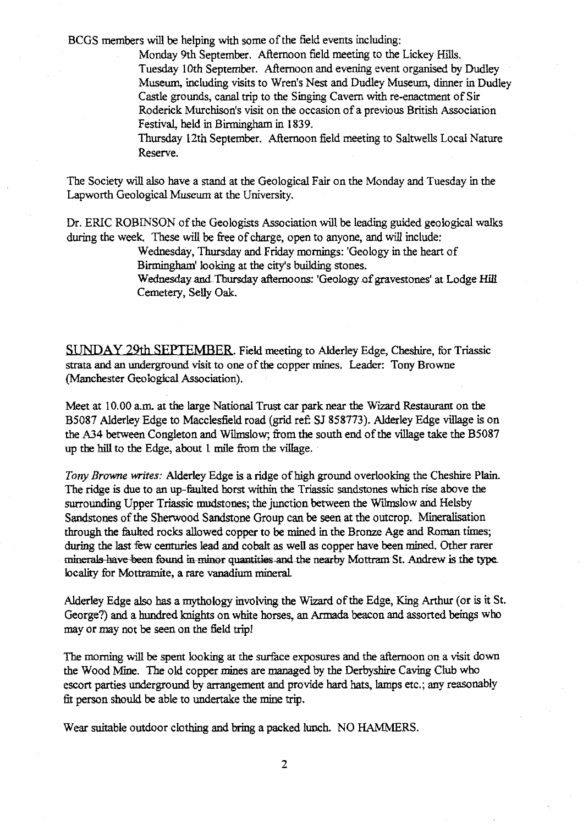BCGS members will be helping with some of the field events including:

Monday 9th September. Afternoon field meeting to the Lickey Hills. Tuesday 10th September. Afternoon and evening event organised by Dudley Museum, including visits to Wren's Nest and Dudley Museum, dinner in Dudley Castle grounds, canal trip to the Singing Cavern with re-enactment of Sir Roderick Murchison's visit on the occasion of a previous British Association Festival, held in Birmingham in 1839.

Thursday 12th September. Afternoon field meeting to Saltwells Local Nature Reserve.

The Society will also have a stand at the Geological Fair on the Monday and Tuesday in the Lapworth Geological Museum at the University.

Dr. ERIC ROBINSON of the Geologists Association will be leading guided geological walks during the week. These will be free of charge, open to anyone, and will include:

> Wednesday, Thursday and Friday mornings: 'Geology in the heart of Birmingham' looking at the city's building stones.

Wednesday and Thursday afternoons: 'Geology of gravestones' at Lodge Hill Cemetery, Selly Oak.

**SUNDAY 29th SEPTEMBER.** Field meeting to Alderley Edge, Cheshire, for Triassic strata and an underground visit to one of the copper mines. Leader: Tony Browne (Manchester Geological Association).

Meet at 10.00 a.m. at the large National Trust car park near the Wizard Restaurant on the B5087 Alderley Edge to Macclesfield road (grid ref: SJ 858773). Alderley Edge village is on the A34 between Congleton and Wilmslow; from the south end of the village take the B5087 up the hill to the Edge, about I mile from the village.

*Tony Browne writes: Alderley* Edge is a ridge of high ground overlooking the Cheshire Plain. The ridge is due to an up-faulted horst within the Triassic sandstones which rise above the surrounding Upper Triassic mudstones; the junction between the Wilmslow and Helsby Sandstones of the *Sherwood* Sandstone Group can be seen at the outcrop. Mineralization through the faulted rocks allowed copper to be mined in the Bronze Age and Roman times; during the last few centuries lead and cobalt as well as copper have been mined. Other rarer<br>minerals have been found in minor quantities and the nearby Mottram St. Andrew is the type minerals have been found in minor quantities and the nearby Mottram St. Andrew is the type locality for Mottramite, a rare vanadium mineral.

Alderley Edge also has a mythology involving the Wizard of the Edge, King Arthur (or is it St. George?) and a hundred knights on white horses, an Armada beacon and assorted beings who may or may not be seen on the field trip!

The morning will be spent looking at the surface exposures and the afternoon on a visit down the Wood Mme. The old copper mines are managed by the Derbyshire Caving Club who escort parties underground by *arrangement* and provide hard hats, lamps etc.; any reasonably fit person should be able to undertake the mine trip.

Wear suitable outdoor clothing and bring a packed lunch. NO HAMMERS.

2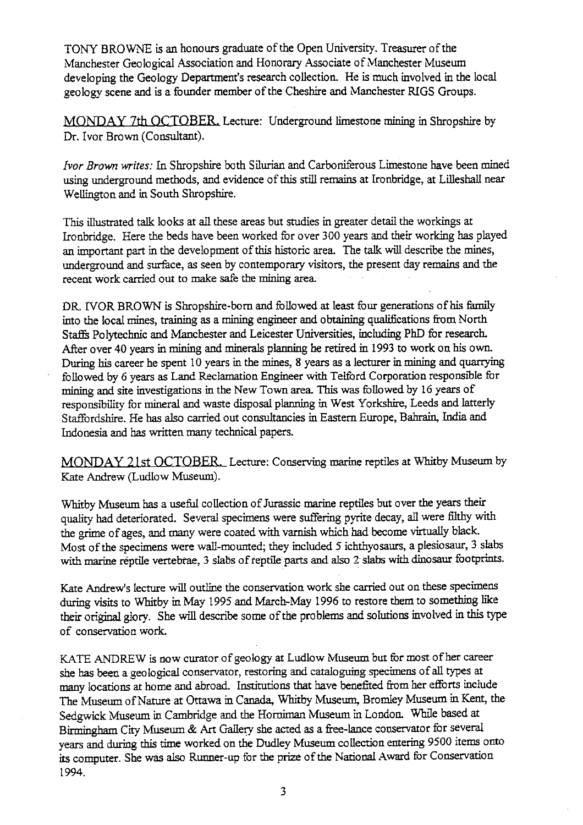TONY BROWNE is an honours graduate of the Open University. Treasurer of the Manchester Geological Association and Honorary Associate of Manchester Museum developing the Geology Department's research collection. He is much involved in the local geology scene and is a founder member of the Cheshire and Manchester RIGS Groups.

MONDAY 7th OCTOBER. Lecture: Underground limestone mining in Shropshire by Dr. Ivor Brown (Consultant).

*Ivor Brown writes:* In Shropshire both Silurian and Carboniferous Limestone have been mined using underground methods, and evidence of this still remains at Ironbridge, at Lilleshall near Wellington and in South Shropshire.

This illustrated talk looks at all these areas but studies in greater detail the workings at Ironbridge. Here the beds have been worked for over 300 years and their working has played an important part in the development of this historic area. The talk will describe the mines, underground and surface, as seen by contemporary visitors, the present day remains and the recent work carried out to make safe the mining area.

DR IVOR BROWN is Shropshire-born and followed at least four generations of his family into the local mines, training as a mining engineer and obtaining qualifications from North Staffs Polytechnic and Manchester and Leicester Universities, including PhD for research. After over 40 years in mining and minerals planning he retired in 1993 to work on his own. During his career he spent 10 years in the mines, 8 years as a lecturer in mining and quarrying followed by 6 years as Land Reclamation Engineer with Telford Corporation responsible for mining and site investigations in the New Town area. This was followed by 16 years of responsibility for mineral and waste disposal planning in West Yorkshire, Leeds and latterly Staffordshire. He has also carried out consultancies in Eastern Europe, Bahrain, India and Indonesia and has written many technical papers.

MONDAY 21st OCTOBER. Lecture: Conserving marine reptiles at Whitby Museum by Kate Andrew (Ludlow Museum).

Whitby Museum has a useful collection of Jurassic marine reptiles but over the years their quality had deteriorated. Several specimens were suffering pyrite decay, all were filthy with the grime of ages, and many were coated with varnish which had become virtually black. Most of the specimens were wall-mounted; they included 5 ichthyosaurs, a plesiosaur, 3 slabs with marine reptile vertebrae, 3 slabs of reptile parts and also 2- slabs with dinosaur footprints.

Kate Andrew's lecture will outline the conservation work she carried out on these specimens during visits to Whitby in May 1995 and March-May 1996 to restore them to something like their original glory. She will describe some of the problems and solutions involved in this type of conservation work.

KATE ANDREW is now curator of geology at Ludlow Museum but for most of her career she has been a geological conservator, restoring and cataloguing specimens of all types at many locations at home and abroad. Institutions that have benefited from her efforts include The Museum of Nature at Ottawa in Canada, Whitby Museum, Bromley Museum in Kent, the Sedgwick Museum in Cambridge and the Horniman Museum in London. While based at Birmingham City Museum & Art Gallery she acted as a free-lance conservator for several years and during this time worked on the Dudley Museum collection entering 9500 items onto its computer. She was also Runner-up for the prize of the National Award for Conservation 1994.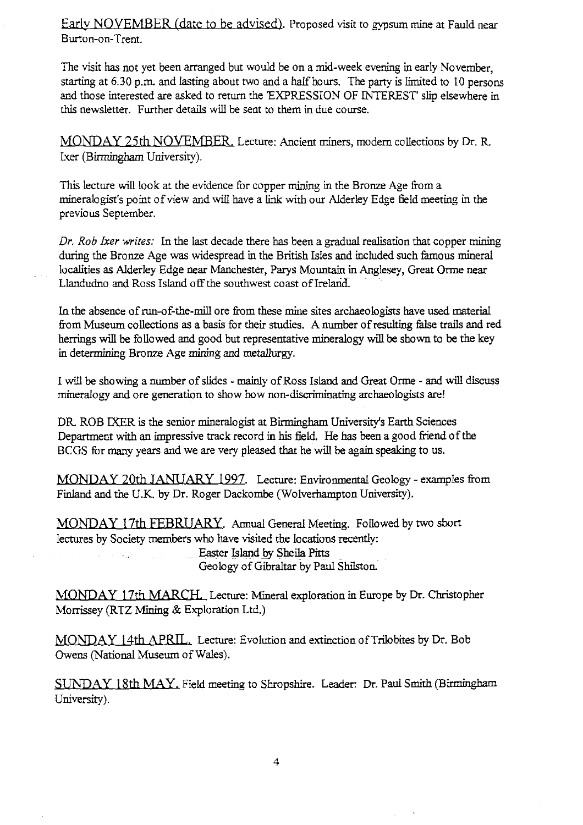Early NOVEMBER (date to be advised). Proposed visit to gypsum mine at Fauld near Burton-on-Trent.

The visit has not yet been arranged but would be on a mid-week evening in early November, starting at 6.30 p.m. and lasting about two and a half hours. The party is limited to 10 persons and those interested are asked to return the 'EXPRESSION OF INTEREST' slip elsewhere in this newsletter. Further details will be sent to them in due course.

MONDAY 25th NOVEMBER, Lecture: Ancient miners, modern collections by Dr. R. L a cer (Birmingham University).

This lecture will look at the evidence for copper mining in the Bronze Age from a mineralogist's point of view and will have a link with our Alderley Edge field meeting in the previous September.

*Dr. Rob Ixer writes:* In the last decade there has been a gradual realisation that copper mining during the Bronze Age was widespread in the British Isles and included such famous mineral localities as Alderley Edge near Manchester, Parys Mountain in Anglesey, Great Orme near Llandudno and Ross Island off the southwest coast of Ireland

In the absence of run-of-the-mill ore from these mine sites archaeologists have used material from Museum collections as a basis for their studies. A number of resulting false trails and red herrings will be followed and good but representative mineralogy will be shown to be the key in determining Bronze Age mining and metallurgy.

I will be showing a number of slides - mainly of Ross Island and Great Orme - and will discuss mineralogy and ore generation to show how non-discriminating archaeologists are!

DR. ROB IXER is the senior mineralogist at Birmingham University's Earth Sciences Department with an impressive track record in his field. He has been a good friend of the BCGS for many years and we are very pleased that he will be again speaking to us.

MONDAY 20th JANUARY 1997. Lecture: Environmental Geology - examples from Finland and the U.K. by Dr. Roger Dackombe (Wolverhampton University).

MONDAY 17th FEBRUARY. Annual General Meeting. Followed by two short lectures by Society members who have visited the locations recently:

Easter Island by Sheila Pitts

Geology of Gibraltar by Paul Shllston.

MONDAY 17th MARCH. Lecture: Mineral exploration in Europe by Dr. Christopher Morrissey (RTZ Mining & Exploration Ltd.)

MONDAY 14th APRIL. Lecture: Evolution and extinction of Trilobites by Dr. Bob Owens (National Museum of Wales).

SUNDAY 18th MAY. Field meeting to Shropshire. Leader. Dr. Paul Smith (Birmingham University).

4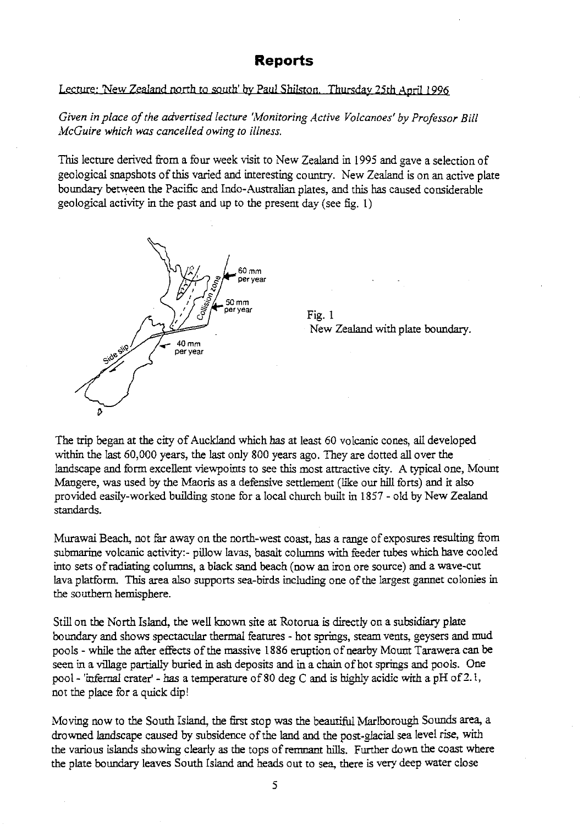### Reports

### Lecture: New Zealand north to south' by Paul Shilston. Thursday 25th April 1996

*Given in place of the advertised lecture 'Monitoring Active Volcanoes' by Professor Bill McGuire which was cancelled owing to illness.*

This lecture de**ri**ved from a four week visit to New Zealand in 1995 and gave a selection of geological snapshots of this varied and interesting country. New Zealand is on an active plate boundary between the Pacific and Indo-Australian plates, and this has caused considerable geological activity in the past and up to the present day (see fig. 1)



Fig. 1 New Zealand with plate bounda**ry**.

The trip began at the city of Auckland which has at least 60 volcanic cones, all developed within the last 60,000 years, the last only 800 years ago. They are dotted all over the landscape and form excellent viewpoints to see this most attractive city. A typical one, Mount Mangere, was used by the Maoris as a defensive settlement (like our hill forts) and it also provided eas**il**y-worked building stone for a loca**l** church built in 1857 - old by New Zealand standards.

Murawai Beach, not far away on the north-west coast, has a range of exposures **re**sulting from submarine volcanic activity:- pillow lavas, basalt columns with feeder tubes which have cooled into sets of radiating columns, a black sand beach (now an iron ore source) and a wave-cut lava platform. This area also supports **sea-birds** including one of the largest gannet colonies in the southern hemisphere.

Still on the North Island, the well known site at Rotorua is directly on a subsidiary plate boundary and shows spectacular thermal featu**re**s - hot springs, steam vents, geysers and mud pools - while the after effects of the massive 1886 eruption of nearby Mount Tarawera can be seen in a village partially buried in ash deposits and in a chain of hot springs and pools. One pool- 'infernal crater' - has a temperature of 80 deg C and is highly acidic with a pH of **2**.1, not the place for a quick dip!

Moving now to the South Island, the first stop was the beautiful Marlborough Sounds area, a drowned landscape caused by subsidence of the land and the post- g lacial sea level rise, with the various islands showing clearly as the tops of remnant hills. Further down the coast where the plate boundary leaves South Island and heads out to sea, there is very deep water close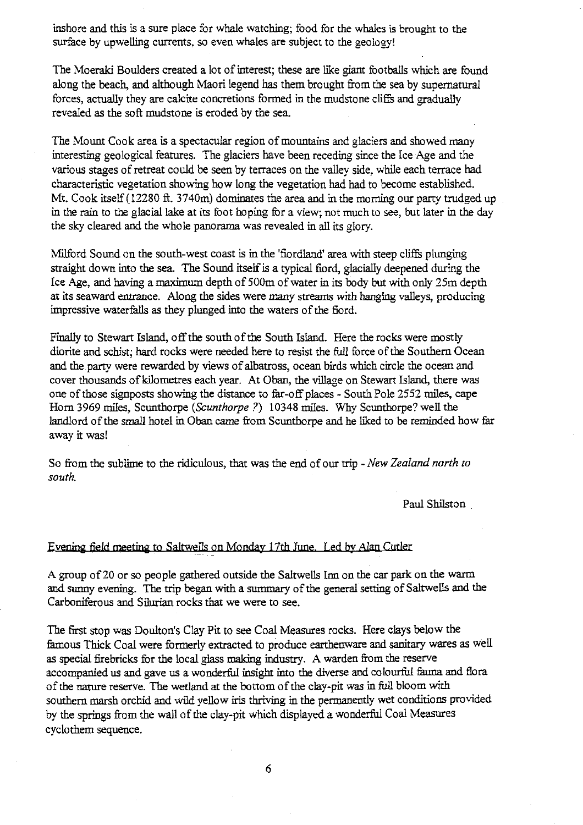inshore and this is a sure place for whale watching; food for the whales is brought to the surface by upwelling currents, so even whales are subject to the geology!

The Moeraki Boulders created a lot of interest; these are like giant footballs which are found along the beach, and although Maori legend has them brought from the sea by supernatural forces, actually they are calcite concretions formed in the mudstone cliffs and gradually revealed as the soft mudstone is eroded by the sea.

The Mount Cook area is a spectacular region of mountains and glaciers and showed many interesting geological features. The glaciers have been receding since the Ice Age and the various stages of retreat could be seen by terraces on the valley side. while each terrace had characteristic vegetation showing how long the vegetation had had to become established. Mt. Cook itself (12280 ft. 3740m) dominates the area and in the morning our party trudged up in the rain to the glacial lake at its foot hoping for a view; not much to see, but later in the day the sky cleared and the whole panorama was revealed in all its glory.

Milford Sound on the south-west coast is in the 'fiordland' area with steep cliffs plunging straight down into the sea. The Sound itself is a typical fiord, glacially deepened during the Ice Age, and having a maximum depth of 500m of water in its body but with only *2* 5m depth at its seaward entrance. Along the sides were many streams with hanging valleys, producing impressive waterfalls as they plunged into the waters of the fiord.

Finally to Stewart Island, off *the south of the South* Island. Here the rocks were mostly diorite and schist; hard rocks were needed here to resist the full force of the Southern Ocean and the party were rewarded by views of albatross, ocean birds which circle *the* ocean and cover thousands of kilometres each year. At Oban, the village on Stewart Island, there was one of those signposts showing the distance to far-off places - South Pole 2552 miles, cape Horn 3969 miles, Scunthorpe *(Scunthorpe?)* 10348 miles. Why Scunthorpe? well the landlord of the small hotel in Oban came from Scunthorpe and he liked to be reminded how far away it was

So from the sublime to the ridiculous, that was the end of our trip - *New Zealand north to south.*

Paul Shilston

#### Evening field meeting to Saltwells on Monday 17th June. Led by Alan Cutler

A group of 20 or so people gathered outside the Saltwells Inn on the car park on the warm and sunny evening. The trip began with a summary of the general setting of Saltwells and the Carboniferous and Silurian rocks that we were to see.

The first stop was Doulton's Clay Pit to see Coal Measures rocks. Here clays below the famous Thick Coal were formerly extracted to produce earthenware and sanitary wares as well as special firebricks for the local glass making industry. A warden from the reserve accompanied us and gave us a wonderful insight into the diverse and colourful fauna and flora of the nature reserve. The wetland at the bottom of the clay-pit was in full bloom with southern marsh orchid and wild yellow iris thriving in the permanently wet conditions provided by the springs from the wall of the clay-pit which displayed a wonderful Coal Measures cyclothem sequence.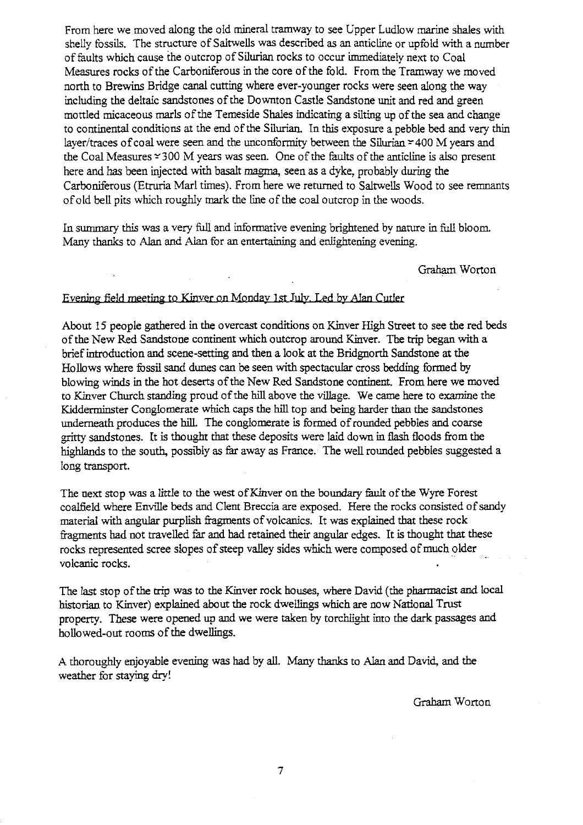From here we moved along the old mineral tramway to see **Upper** Ludlow marine shales with shelly fossils. The structure of Saltwells was described **as an** anticline or upfold with a number of faults which cause the outcrop of Silurian rocks to occur immediately next to Coal Measures rocks of the Carboniferous in the core of the fold. From the Tramway we moved no**rt**h to Brewins B**ri**dge canal cutting where ever-younger rocks were seen along the way including the deltaic s**an**dstones of the Downton Castle Sandstone unit and red and green mottled micaceous marls of the Temeside Shales indicating a silting up of the sea and change to continental conditions at the end of the Silurian. In this exposure a pebble bed and ve**ry** thin layer/traces of coal were seen and the unconformity between the Silurian  $\simeq$  400 M years and the Coal Measures  $\approx 300$  M years was seen. One of the faults of the anticline is also present here and has been injected with basalt magma, seen as a dyke, probably during the Carboniferous (Etruria Marl times). From here we returned to Saltwells Wood to see remnants of old bell pits which roughly mark the tine of the coal outcrop in the woods.

In summary this was a very full and informative evening brightened by nature in **full** bloom. Many thanks to Alan and Alan for an entertaining and enlightening evening.

Graham Wo**rt**on

# ning field meeting to Kinver on Monday 1st July. Led by Alar

About 15 people gathered in the overcast conditions on Kinver High Street to see the red beds of the New Red Sandstone continent which outcrop around Kinver. The trip began with a brief introduction and scene-setting and then a look at the Bridgnorth Sandstone at the Hollows where fossil sand dunes can be seen with spectacular cross bedding formed by blowing winds in the hot deserts of the New Red Sandstone continent. From here we moved to Kinver Church standing proud of the hill above the village. We came here to examine the Kidderminster Conglomerate which caps the hill top and being harder than the sandstones **underneath** produces the hill. The conglomerate is formed of rounded pebbles and coarse gritty sandstones. It is thought that these deposits were laid down in **flash** floods from the highlands to the south, possibly as far away as France. The well rounded pebbles suggested a long transpo**rt**.

The next stop was a little to the west of Kinver on the boundary fault of the Wyre Forest coalfield where Enville beds and Clent Breccia are exposed. Here the rocks consisted of sandy material with angular purplish **fragments** of volcanics. It was explained that these rock fragments had not travelled far and bad retained their angular edges. It is thought that these rocks represented scree slopes of steep valley sides which were composed of much older volcanic rocks.

The last stop of the trip was to the Kinver rock houses, where David (the pharmacist and local historian to Kinver) explained about the rock dwellings which are now National Trust property. These were opened up and we were taken by **torchlight** into the dark passages and hollowed-out rooms of the dwellings.

A thoroughly enjoyable evening was had by all. Many thanks to Alan and David, and the weather for staying dry!

Graham. Wo**rt**on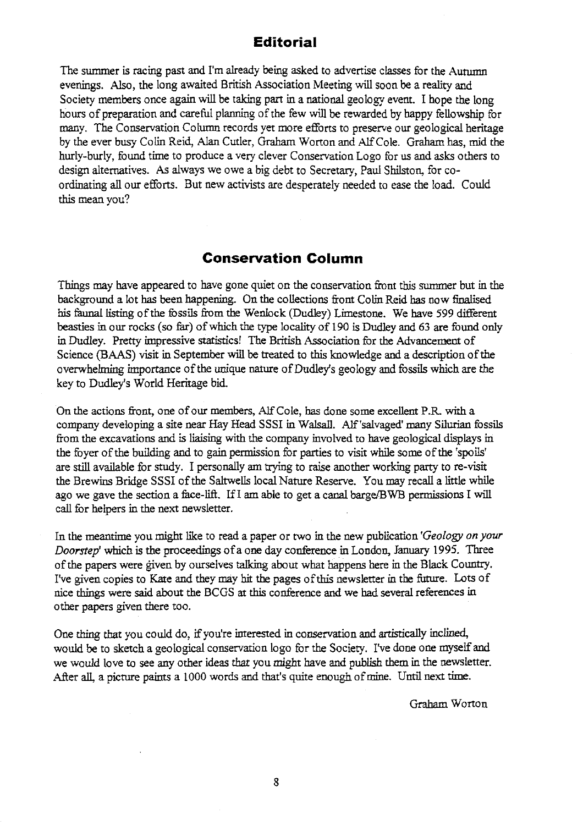### **Editorial**

The summer is racing past and I'm already being asked to advertise classes for the Autumn evenings. Also, the long awaited British Association Meeting will soon be a reality and Society members once again will be taking part in a national geology event. I hope the long hours of preparation and careful planning of the few will be rewarded by happy fellowship for many. The Conservation Column records yet more efforts to preserve our geological heritage by the ever busy Colin Reid, Alan Cutler, Graham Worton and Alf Cole. Graham has, mid the hurly-burly, found time to produce a very clever Conservation Logo for us and asks others to design alternatives. As always we owe a big debt to Secretary, Paul Shilston, for coordinating all our efforts. But new activists are desperately needed to ease the load. Could this mean you?

### **Conservation Column**

Things may have appeared to have gone quiet on the conservation front this summer but in the background a lot has been happening. On the collections front Colin Reid has now finalised his faunal listing of the fossils from the Wenlock (Dudley) Limestone. We have 599 different beasties in our rocks (so far) of which the type locality of 190 is Dudley and 63 are found only in Dudley. Pretty impressive statistics! The British Association for the Advancement of Science (BAAS) visit in September will be treated to this knowledge and a description of the overwhelming importance of the unique nature of Dudley's geology and fossils which are the key to Dudley's World Heritage bid.

On the actions front, one of our members, Alf Cole, has done some excellent P.R with a company developing a site near Hay Head SSSI in Walsall. Alf'salvaged' many Silurian fossils from the excavations and is liaising with the company involved to have geological displays in the foyer of the building and to gain permission for parties to visit while some of the'spoils' are still available for study. I personally am trying to raise another working party to re-visit the Brewins Bridge SSSI of the Saltwells local Nature Reserve. You may recall a little while ago we gave the section a face-lift. If I am able to get a canal barge/BWB permissions I will call for helpers in the next newsletter.

In the meantime you might like to read a paper or two in the new publication *'Geology on your* Doorstep' which is the proceedings of a one day conference in London, January 1995. Three of the papers were given by ourselves talking about what happens here in the Black Country. I've given copies to Kate and they may bit the pages ofthis newsletter in the future. Lots of nice things were said about the BCGS at this conference and we had several references in other papers given there too.

One thing that you could do, if you're interested in conservation and artistically inclined, would be to sketch a geological conservation logo for the Society. I've done one myself and we would love to see any other ideas that you might have and publish them in the newsletter. After all, a picture paints a 1000 words and that's quite enough of mine. Until next time.

Graham Worton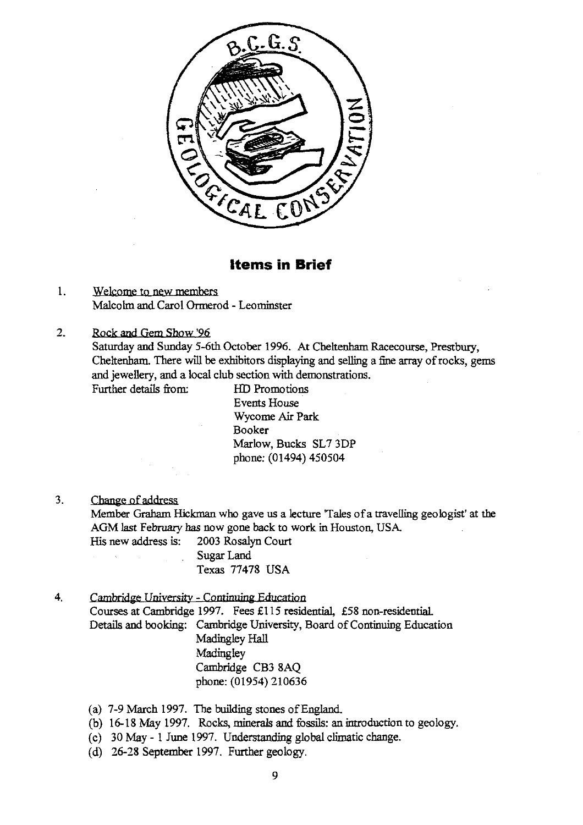

### **Items in Brief**

- 1. Welcome to new members Malcolm and Carol Ormerod - Leominster
- 2. Rock and Gem Show '96 Saturday and Sunday 5-6th October 1996. At Cheltenham Racecourse, Prestbury, Cheltenham. There will be exhibitors displaying and selling a fine array of rocks, gems and jewellery, and a local club section with demonstrations. Further details from: HD Promotions

Events House Wycome Air Park Booker Marlow, Bucks SL7 3DP phone: (01494) 450504

3. Change of address

Member Graham Hickman who gave us a lecture 'Tales of a travelling geologist' at the AGM last February has now gone back to work in Houston, USA.<br>His new address is: 2003 Rosalyn Court His new address is: Sugar Land

Texas 77478 USA

- 4. Cambridge University Continuing Education Courses at Cambridge 1997. Fees £115 residential, £58 non-residential. Details and booking: Cambridge University, Board of Continuing Education Madingley Hall **Madingley** Cambridge CB3 8AQ phone: (01954) 210636
	- (a) 7-9 March 1997. The building stones of England.
	- (b) 16-18 May 1997. Rocks, minerals and fossils: an introduction to geology.
	- (c) 30 May 1 June 1997. Understanding global climatic change.
	- (d) 26-28 September 1997. Further geology.